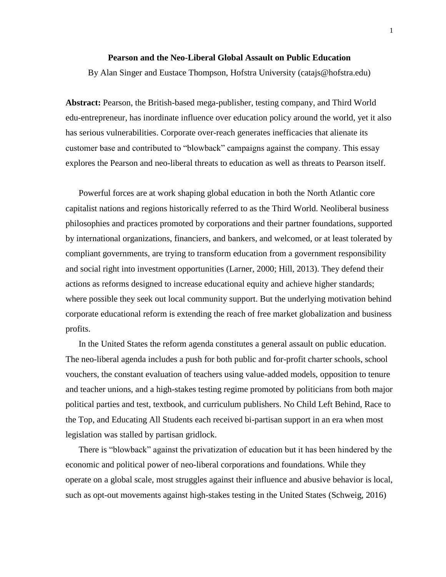#### **Pearson and the Neo-Liberal Global Assault on Public Education**

By Alan Singer and Eustace Thompson, Hofstra University (catajs@hofstra.edu)

**Abstract:** Pearson, the British-based mega-publisher, testing company, and Third World edu-entrepreneur, has inordinate influence over education policy around the world, yet it also has serious vulnerabilities. Corporate over-reach generates inefficacies that alienate its customer base and contributed to "blowback" campaigns against the company. This essay explores the Pearson and neo-liberal threats to education as well as threats to Pearson itself.

Powerful forces are at work shaping global education in both the North Atlantic core capitalist nations and regions historically referred to as the Third World. Neoliberal business philosophies and practices promoted by corporations and their partner foundations, supported by international organizations, financiers, and bankers, and welcomed, or at least tolerated by compliant governments, are trying to transform education from a government responsibility and social right into investment opportunities (Larner, 2000; Hill, 2013). They defend their actions as reforms designed to increase educational equity and achieve higher standards; where possible they seek out local community support. But the underlying motivation behind corporate educational reform is extending the reach of free market globalization and business profits.

In the United States the reform agenda constitutes a general assault on public education. The neo-liberal agenda includes a push for both public and for-profit charter schools, school vouchers, the constant evaluation of teachers using value-added models, opposition to tenure and teacher unions, and a high-stakes testing regime promoted by politicians from both major political parties and test, textbook, and curriculum publishers. No Child Left Behind, Race to the Top, and Educating All Students each received bi-partisan support in an era when most legislation was stalled by partisan gridlock.

There is "blowback" against the privatization of education but it has been hindered by the economic and political power of neo-liberal corporations and foundations. While they operate on a global scale, most struggles against their influence and abusive behavior is local, such as opt-out movements against high-stakes testing in the United States (Schweig, 2016)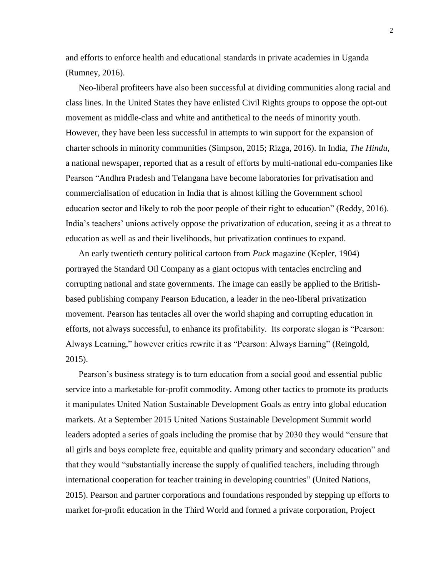and efforts to enforce health and educational standards in private academies in Uganda (Rumney, 2016).

Neo-liberal profiteers have also been successful at dividing communities along racial and class lines. In the United States they have enlisted Civil Rights groups to oppose the opt-out movement as middle-class and white and antithetical to the needs of minority youth. However, they have been less successful in attempts to win support for the expansion of charter schools in minority communities (Simpson, 2015; Rizga, 2016). In India, *The Hindu*, a national newspaper, reported that as a result of efforts by multi-national edu-companies like Pearson "Andhra Pradesh and Telangana have become laboratories for privatisation and commercialisation of education in India that is almost killing the Government school education sector and likely to rob the poor people of their right to education" (Reddy, 2016). India's teachers' unions actively oppose the privatization of education, seeing it as a threat to education as well as and their livelihoods, but privatization continues to expand.

An early twentieth century political cartoon from *Puck* magazine (Kepler, 1904) portrayed the Standard Oil Company as a giant octopus with tentacles encircling and corrupting national and state governments. The image can easily be applied to the Britishbased publishing company Pearson Education, a leader in the neo-liberal privatization movement. Pearson has tentacles all over the world shaping and corrupting education in efforts, not always successful, to enhance its profitability. Its corporate slogan is "Pearson: Always Learning," however critics rewrite it as "Pearson: Always Earning" (Reingold, 2015).

Pearson's business strategy is to turn education from a social good and essential public service into a marketable for-profit commodity. Among other tactics to promote its products it manipulates United Nation Sustainable Development Goals as entry into global education markets. At a September 2015 United Nations Sustainable Development Summit world leaders adopted a series of goals including the promise that by 2030 they would "ensure that all girls and boys complete free, equitable and quality primary and secondary education" and that they would "substantially increase the supply of qualified teachers, including through international cooperation for teacher training in developing countries" (United Nations, 2015). Pearson and partner corporations and foundations responded by stepping up efforts to market for-profit education in the Third World and formed a private corporation, Project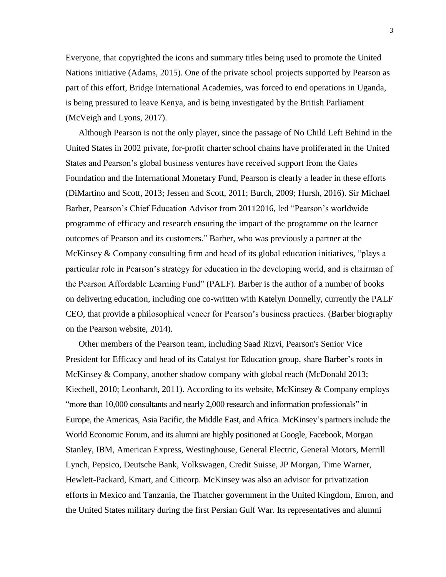Everyone, that copyrighted the icons and summary titles being used to promote the United Nations initiative (Adams, 2015). One of the private school projects supported by Pearson as part of this effort, Bridge International Academies, was forced to end operations in Uganda, is being pressured to leave Kenya, and is being investigated by the British Parliament (McVeigh and Lyons, 2017).

Although Pearson is not the only player, since the passage of No Child Left Behind in the United States in 2002 private, for-profit charter school chains have proliferated in the United States and Pearson's global business ventures have received support from the Gates Foundation and the International Monetary Fund, Pearson is clearly a leader in these efforts (DiMartino and Scott, 2013; Jessen and Scott, 2011; Burch, 2009; Hursh, 2016). Sir Michael Barber, Pearson's Chief Education Advisor from 20112016, led "Pearson's worldwide programme of efficacy and research ensuring the impact of the programme on the learner outcomes of Pearson and its customers." Barber, who was previously a partner at the McKinsey & Company consulting firm and head of its global education initiatives, "plays a particular role in Pearson's strategy for education in the developing world, and is chairman of the Pearson Affordable Learning Fund" (PALF). Barber is the author of a number of books on delivering education, including one co-written with Katelyn Donnelly, currently the PALF CEO, that provide a philosophical veneer for Pearson's business practices. (Barber biography on the Pearson website, 2014).

Other members of the Pearson team, including Saad Rizvi, Pearson's Senior Vice President for Efficacy and head of its Catalyst for Education group, share Barber's roots in McKinsey & Company, another shadow company with global reach (McDonald 2013; Kiechell, 2010; Leonhardt, 2011). According to its website, McKinsey & Company employs "more than 10,000 consultants and nearly 2,000 research and information professionals" in Europe, the Americas, Asia Pacific, the Middle East, and Africa. McKinsey's partners include the World Economic Forum, and its alumni are highly positioned at Google, Facebook, Morgan Stanley, IBM, American Express, Westinghouse, General Electric, General Motors, Merrill Lynch, Pepsico, Deutsche Bank, Volkswagen, Credit Suisse, JP Morgan, Time Warner, Hewlett-Packard, Kmart, and Citicorp. McKinsey was also an advisor for privatization efforts in Mexico and Tanzania, the Thatcher government in the United Kingdom, Enron, and the United States military during the first Persian Gulf War. Its representatives and alumni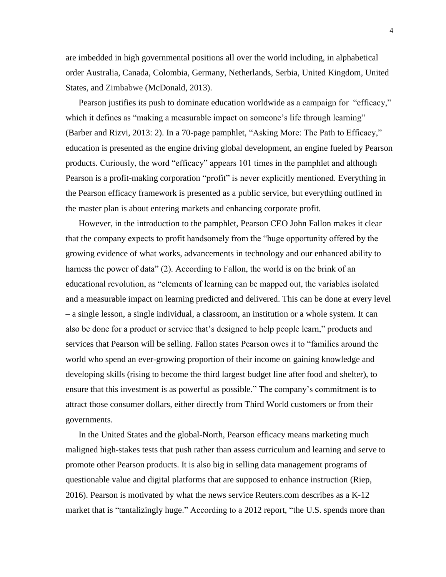are imbedded in high governmental positions all over the world including, in alphabetical order Australia, Canada, Colombia, Germany, Netherlands, Serbia, United Kingdom, United States, and Zimbabwe (McDonald, 2013).

Pearson justifies its push to dominate education worldwide as a campaign for "efficacy," which it defines as "making a measurable impact on someone's life through learning" (Barber and Rizvi, 2013: 2). In a 70-page pamphlet, "Asking More: The Path to Efficacy," education is presented as the engine driving global development, an engine fueled by Pearson products. Curiously, the word "efficacy" appears 101 times in the pamphlet and although Pearson is a profit-making corporation "profit" is never explicitly mentioned. Everything in the Pearson efficacy framework is presented as a public service, but everything outlined in the master plan is about entering markets and enhancing corporate profit.

However, in the introduction to the pamphlet, Pearson CEO John Fallon makes it clear that the company expects to profit handsomely from the "huge opportunity offered by the growing evidence of what works, advancements in technology and our enhanced ability to harness the power of data" (2). According to Fallon, the world is on the brink of an educational revolution, as "elements of learning can be mapped out, the variables isolated and a measurable impact on learning predicted and delivered. This can be done at every level – a single lesson, a single individual, a classroom, an institution or a whole system. It can also be done for a product or service that's designed to help people learn," products and services that Pearson will be selling. Fallon states Pearson owes it to "families around the world who spend an ever-growing proportion of their income on gaining knowledge and developing skills (rising to become the third largest budget line after food and shelter), to ensure that this investment is as powerful as possible." The company's commitment is to attract those consumer dollars, either directly from Third World customers or from their governments.

In the United States and the global-North, Pearson efficacy means marketing much maligned high-stakes tests that push rather than assess curriculum and learning and serve to promote other Pearson products. It is also big in selling data management programs of questionable value and digital platforms that are supposed to enhance instruction (Riep, 2016). Pearson is motivated by what the news service Reuters.com describes as a K-12 market that is "tantalizingly huge." According to a 2012 report, "the U.S. spends more than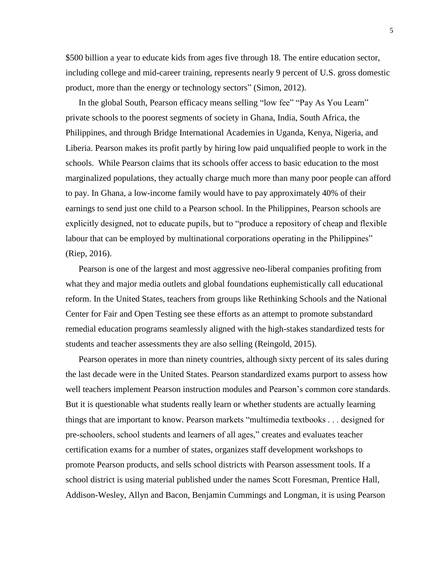\$500 billion a year to educate kids from ages five through 18. The entire education sector, including college and mid-career training, represents nearly 9 percent of U.S. gross domestic product, more than the energy or technology sectors" (Simon, 2012).

In the global South, Pearson efficacy means selling "low fee" "Pay As You Learn" private schools to the poorest segments of society in Ghana, India, South Africa, the Philippines, and through Bridge International Academies in Uganda, Kenya, Nigeria, and Liberia. Pearson makes its profit partly by hiring low paid unqualified people to work in the schools. While Pearson claims that its schools offer access to basic education to the most marginalized populations, they actually charge much more than many poor people can afford to pay. In Ghana, a low-income family would have to pay approximately 40% of their earnings to send just one child to a Pearson school. In the Philippines, Pearson schools are explicitly designed, not to educate pupils, but to "produce a repository of cheap and flexible labour that can be employed by multinational corporations operating in the Philippines" (Riep, 2016).

Pearson is one of the largest and most aggressive neo-liberal companies profiting from what they and major media outlets and global foundations euphemistically call educational reform. In the United States, teachers from groups like Rethinking Schools and the National Center for Fair and Open Testing see these efforts as an attempt to promote substandard remedial education programs seamlessly aligned with the high-stakes standardized tests for students and teacher assessments they are also selling (Reingold, 2015).

Pearson operates in more than ninety countries, although sixty percent of its sales during the last decade were in the United States. Pearson standardized exams purport to assess how well teachers implement Pearson instruction modules and Pearson's common core standards. But it is questionable what students really learn or whether students are actually learning things that are important to know. Pearson markets "multimedia textbooks . . . designed for pre-schoolers, school students and learners of all ages," creates and evaluates teacher certification exams for a number of states, organizes staff development workshops to promote Pearson products, and sells school districts with Pearson assessment tools. If a school district is using material published under the names Scott Foresman, Prentice Hall, Addison-Wesley, Allyn and Bacon, Benjamin Cummings and Longman, it is using Pearson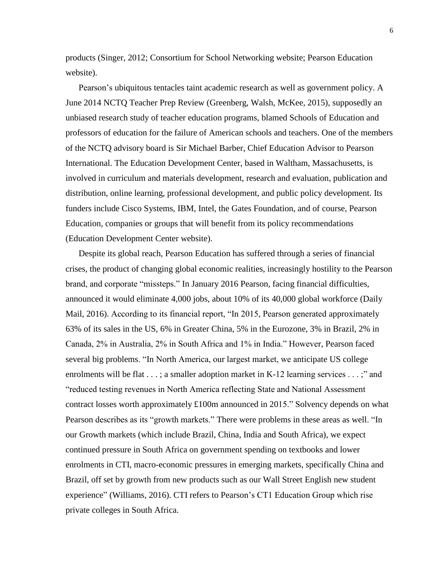products (Singer, 2012; Consortium for School Networking website; Pearson Education website).

Pearson's ubiquitous tentacles taint academic research as well as government policy. A June 2014 NCTQ Teacher Prep Review (Greenberg, Walsh, McKee, 2015), supposedly an unbiased research study of teacher education programs, blamed Schools of Education and professors of education for the failure of American schools and teachers. One of the members of the NCTQ advisory board is Sir Michael Barber, Chief Education Advisor to Pearson International. The Education Development Center, based in Waltham, Massachusetts, is involved in curriculum and materials development, research and evaluation, publication and distribution, online learning, professional development, and public policy development. Its funders include Cisco Systems, IBM, Intel, the Gates Foundation, and of course, Pearson Education, companies or groups that will benefit from its policy recommendations (Education Development Center website).

Despite its global reach, Pearson Education has suffered through a series of financial crises, the product of changing global economic realities, increasingly hostility to the Pearson brand, and corporate "missteps." In January 2016 Pearson, facing financial difficulties, announced it would eliminate 4,000 jobs, about 10% of its 40,000 global workforce (Daily Mail, 2016). According to its financial report, "In 2015, Pearson generated approximately 63% of its sales in the US, 6% in Greater China, 5% in the Eurozone, 3% in Brazil, 2% in Canada, 2% in Australia, 2% in South Africa and 1% in India." However, Pearson faced several big problems. "In North America, our largest market, we anticipate US college enrolments will be flat  $\dots$ ; a smaller adoption market in K-12 learning services  $\dots$ ;" and "reduced testing revenues in North America reflecting State and National Assessment contract losses worth approximately £100m announced in 2015." Solvency depends on what Pearson describes as its "growth markets." There were problems in these areas as well. "In our Growth markets (which include Brazil, China, India and South Africa), we expect continued pressure in South Africa on government spending on textbooks and lower enrolments in CTI, macro-economic pressures in emerging markets, specifically China and Brazil, off set by growth from new products such as our Wall Street English new student experience" (Williams, 2016). CTI refers to Pearson's CT1 Education Group which rise private colleges in South Africa.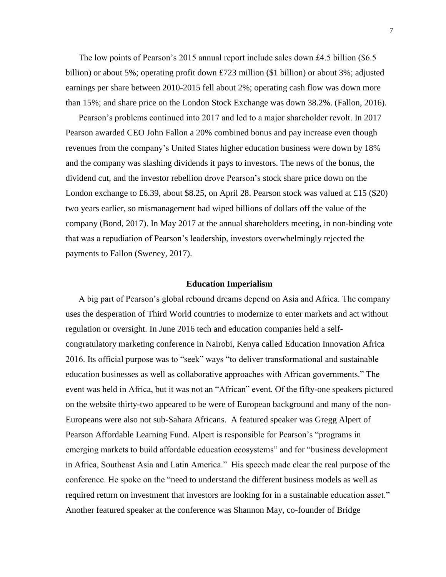The low points of Pearson's 2015 annual report include sales down £4.5 billion (\$6.5 billion) or about 5%; operating profit down £723 million (\$1 billion) or about 3%; adjusted earnings per share between 2010-2015 fell about 2%; operating cash flow was down more than 15%; and share price on the London Stock Exchange was down 38.2%. (Fallon, 2016).

Pearson's problems continued into 2017 and led to a major shareholder revolt. In 2017 Pearson awarded CEO John Fallon a 20% combined bonus and pay increase even though revenues from the company's United States higher education business were down by 18% and the company was slashing dividends it pays to investors. The news of the bonus, the dividend cut, and the investor rebellion drove Pearson's stock share price down on the London exchange to £6.39, about \$8.25, on April 28. Pearson stock was valued at £15 (\$20) two years earlier, so mismanagement had wiped billions of dollars off the value of the company (Bond, 2017). In May 2017 at the annual shareholders meeting, in non-binding vote that was a repudiation of Pearson's leadership, investors overwhelmingly rejected the payments to Fallon (Sweney, 2017).

## **Education Imperialism**

A big part of Pearson's global rebound dreams depend on Asia and Africa. The company uses the desperation of Third World countries to modernize to enter markets and act without regulation or oversight. In June 2016 tech and education companies held a selfcongratulatory marketing conference in Nairobi, Kenya called Education Innovation Africa 2016. Its official purpose was to "seek" ways "to deliver transformational and sustainable education businesses as well as collaborative approaches with African governments." The event was held in Africa, but it was not an "African" event. Of the fifty-one speakers pictured on the website thirty-two appeared to be were of European background and many of the non-Europeans were also not sub-Sahara Africans. A featured speaker was Gregg Alpert of Pearson Affordable Learning Fund. Alpert is responsible for Pearson's "programs in emerging markets to build affordable education ecosystems" and for "business development in Africa, Southeast Asia and Latin America." His speech made clear the real purpose of the conference. He spoke on the "need to understand the different business models as well as required return on investment that investors are looking for in a sustainable education asset." Another featured speaker at the conference was Shannon May, co-founder of Bridge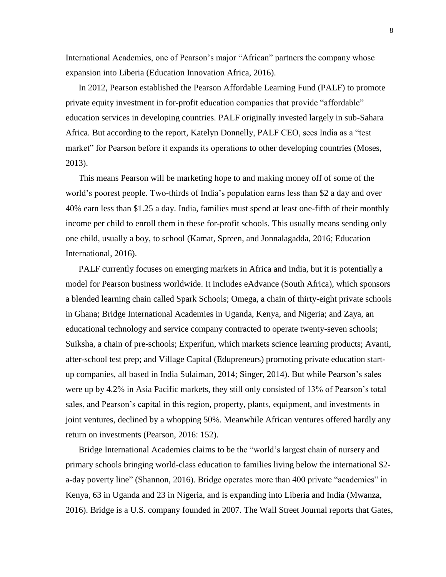International Academies, one of Pearson's major "African" partners the company whose expansion into Liberia (Education Innovation Africa, 2016).

In 2012, Pearson established the Pearson Affordable Learning Fund (PALF) to promote private equity investment in for-profit education companies that provide "affordable" education services in developing countries. PALF originally invested largely in sub-Sahara Africa. But according to the report, Katelyn Donnelly, PALF CEO, sees India as a "test market" for Pearson before it expands its operations to other developing countries (Moses, 2013).

This means Pearson will be marketing hope to and making money off of some of the world's poorest people. Two-thirds of India's population earns less than \$2 a day and over 40% earn less than \$1.25 a day. India, families must spend at least one-fifth of their monthly income per child to enroll them in these for-profit schools. This usually means sending only one child, usually a boy, to school (Kamat, Spreen, and Jonnalagadda, 2016; Education International, 2016).

PALF currently focuses on emerging markets in Africa and India, but it is potentially a model for Pearson business worldwide. It includes eAdvance (South Africa), which sponsors a blended learning chain called Spark Schools; Omega, a chain of thirty-eight private schools in Ghana; Bridge International Academies in Uganda, Kenya, and Nigeria; and Zaya, an educational technology and service company contracted to operate twenty-seven schools; Suiksha, a chain of pre-schools; Experifun, which markets science learning products; Avanti, after-school test prep; and Village Capital (Edupreneurs) promoting private education startup companies, all based in India Sulaiman, 2014; Singer, 2014). But while Pearson's sales were up by 4.2% in Asia Pacific markets, they still only consisted of 13% of Pearson's total sales, and Pearson's capital in this region, property, plants, equipment, and investments in joint ventures, declined by a whopping 50%. Meanwhile African ventures offered hardly any return on investments (Pearson, 2016: 152).

Bridge International Academies claims to be the "world's largest chain of nursery and primary schools bringing world-class education to families living below the international \$2 a-day poverty line" (Shannon, 2016). Bridge operates more than 400 private "academies" in Kenya, 63 in Uganda and 23 in Nigeria, and is expanding into Liberia and India (Mwanza, 2016). Bridge is a U.S. company founded in 2007. The Wall Street Journal reports that Gates,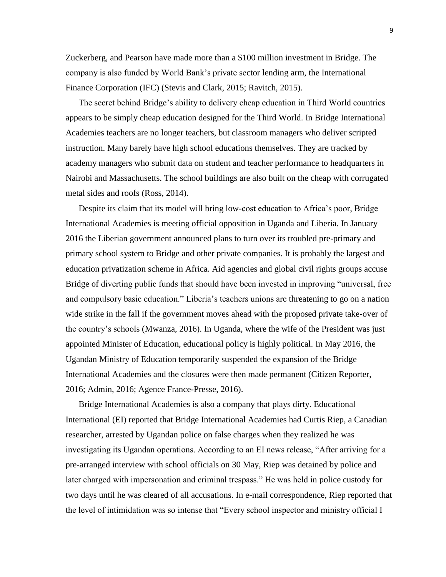Zuckerberg, and Pearson have made more than a \$100 million investment in Bridge. The company is also funded by World Bank's private sector lending arm, the International Finance Corporation (IFC) (Stevis and Clark, 2015; Ravitch, 2015).

The secret behind Bridge's ability to delivery cheap education in Third World countries appears to be simply cheap education designed for the Third World. In Bridge International Academies teachers are no longer teachers, but classroom managers who deliver scripted instruction. Many barely have high school educations themselves. They are tracked by academy managers who submit data on student and teacher performance to headquarters in Nairobi and Massachusetts. The school buildings are also built on the cheap with corrugated metal sides and roofs (Ross, 2014).

Despite its claim that its model will bring low-cost education to Africa's poor, Bridge International Academies is meeting official opposition in Uganda and Liberia. In January 2016 the Liberian government announced plans to turn over its troubled pre-primary and primary school system to Bridge and other private companies. It is probably the largest and education privatization scheme in Africa. Aid agencies and global civil rights groups accuse Bridge of diverting public funds that should have been invested in improving "universal, free and compulsory basic education." Liberia's teachers unions are threatening to go on a nation wide strike in the fall if the government moves ahead with the proposed private take-over of the country's schools (Mwanza, 2016). In Uganda, where the wife of the President was just appointed Minister of Education, educational policy is highly political. In May 2016, the Ugandan Ministry of Education temporarily suspended the expansion of the Bridge International Academies and the closures were then made permanent (Citizen Reporter, 2016; Admin, 2016; Agence France-Presse, 2016).

Bridge International Academies is also a company that plays dirty. Educational International (EI) reported that Bridge International Academies had Curtis Riep, a Canadian researcher, arrested by Ugandan police on false charges when they realized he was investigating its Ugandan operations. According to an EI news release, "After arriving for a pre-arranged interview with school officials on 30 May, Riep was detained by police and later charged with impersonation and criminal trespass." He was held in police custody for two days until he was cleared of all accusations. In e-mail correspondence, Riep reported that the level of intimidation was so intense that "Every school inspector and ministry official I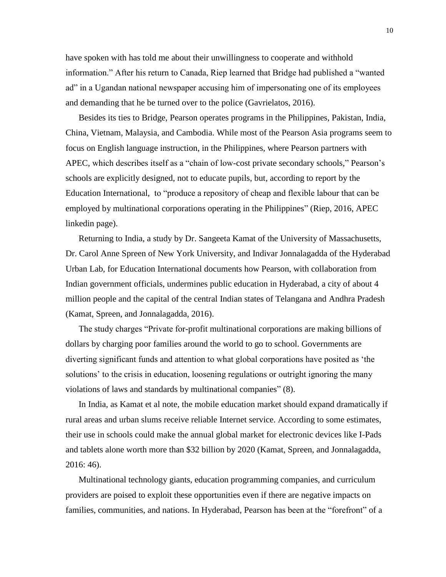have spoken with has told me about their unwillingness to cooperate and withhold information." After his return to Canada, Riep learned that Bridge had published a "wanted ad" in a Ugandan national newspaper accusing him of impersonating one of its employees and demanding that he be turned over to the police (Gavrielatos, 2016).

Besides its ties to Bridge, Pearson operates programs in the Philippines, Pakistan, India, China, Vietnam, Malaysia, and Cambodia. While most of the Pearson Asia programs seem to focus on English language instruction, in the Philippines, where Pearson partners with APEC, which describes itself as a "chain of low-cost private secondary schools," Pearson's schools are explicitly designed, not to educate pupils, but, according to report by the Education International, to "produce a repository of cheap and flexible labour that can be employed by multinational corporations operating in the Philippines" (Riep, 2016, APEC linkedin page).

Returning to India, a study by Dr. Sangeeta Kamat of the University of Massachusetts, Dr. Carol Anne Spreen of New York University, and Indivar Jonnalagadda of the Hyderabad Urban Lab, for Education International documents how Pearson, with collaboration from Indian government officials, undermines public education in Hyderabad, a city of about 4 million people and the capital of the central Indian states of Telangana and Andhra Pradesh (Kamat, Spreen, and Jonnalagadda, 2016).

The study charges "Private for-profit multinational corporations are making billions of dollars by charging poor families around the world to go to school. Governments are diverting significant funds and attention to what global corporations have posited as 'the solutions' to the crisis in education, loosening regulations or outright ignoring the many violations of laws and standards by multinational companies" (8).

In India, as Kamat et al note, the mobile education market should expand dramatically if rural areas and urban slums receive reliable Internet service. According to some estimates, their use in schools could make the annual global market for electronic devices like I-Pads and tablets alone worth more than \$32 billion by 2020 (Kamat, Spreen, and Jonnalagadda, 2016: 46).

Multinational technology giants, education programming companies, and curriculum providers are poised to exploit these opportunities even if there are negative impacts on families, communities, and nations. In Hyderabad, Pearson has been at the "forefront" of a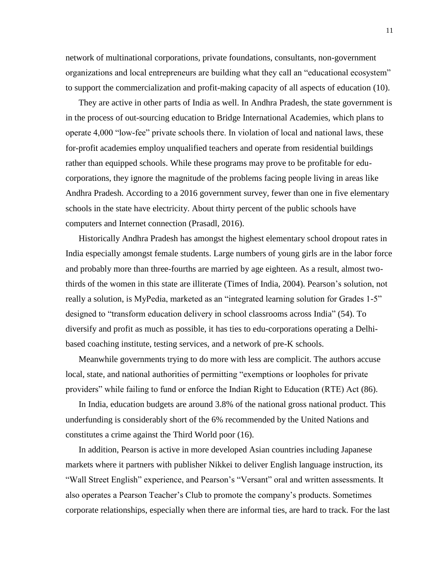network of multinational corporations, private foundations, consultants, non-government organizations and local entrepreneurs are building what they call an "educational ecosystem" to support the commercialization and profit-making capacity of all aspects of education (10).

They are active in other parts of India as well. In Andhra Pradesh, the state government is in the process of out-sourcing education to Bridge International Academies, which plans to operate 4,000 "low-fee" private schools there. In violation of local and national laws, these for-profit academies employ unqualified teachers and operate from residential buildings rather than equipped schools. While these programs may prove to be profitable for educorporations, they ignore the magnitude of the problems facing people living in areas like Andhra Pradesh. According to a 2016 government survey, fewer than one in five elementary schools in the state have electricity. About thirty percent of the public schools have computers and Internet connection (Prasadl, 2016).

Historically Andhra Pradesh has amongst the highest elementary school dropout rates in India especially amongst female students. Large numbers of young girls are in the labor force and probably more than three-fourths are married by age eighteen. As a result, almost twothirds of the women in this state are illiterate (Times of India, 2004). Pearson's solution, not really a solution, is MyPedia, marketed as an "integrated learning solution for Grades 1-5" designed to "transform education delivery in school classrooms across India" (54). To diversify and profit as much as possible, it has ties to edu-corporations operating a Delhibased coaching institute, testing services, and a network of pre-K schools.

Meanwhile governments trying to do more with less are complicit. The authors accuse local, state, and national authorities of permitting "exemptions or loopholes for private providers" while failing to fund or enforce the Indian Right to Education (RTE) Act (86).

In India, education budgets are around 3.8% of the national gross national product. This underfunding is considerably short of the 6% recommended by the United Nations and constitutes a crime against the Third World poor (16).

In addition, Pearson is active in more developed Asian countries including Japanese markets where it partners with publisher Nikkei to deliver English language instruction, its "Wall Street English" experience, and Pearson's "Versant" oral and written assessments. It also operates a Pearson Teacher's Club to promote the company's products. Sometimes corporate relationships, especially when there are informal ties, are hard to track. For the last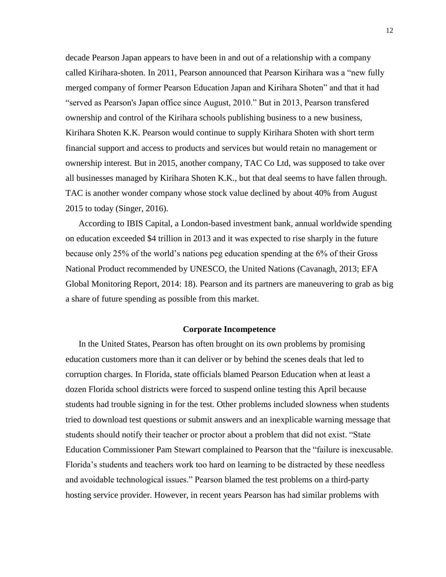decade Pearson Japan appears to have been in and out of a relationship with a company called Kirihara-shoten. In 2011, Pearson announced that Pearson Kirihara was a "new fully merged company of former Pearson Education Japan and Kirihara Shoten" and that it had "served as Pearson's Japan office since August, 2010." But in 2013, Pearson transfered ownership and control of the Kirihara schools publishing business to a new business, Kirihara Shoten K.K. Pearson would continue to supply Kirihara Shoten with short term financial support and access to products and services but would retain no management or ownership interest. But in 2015, another company, TAC Co Ltd, was supposed to take over all businesses managed by Kirihara Shoten K.K., but that deal seems to have fallen through. TAC is another wonder company whose stock value declined by about 40% from August 2015 to today (Singer, 2016).

According to IBIS Capital, a London-based investment bank, annual worldwide spending on education exceeded \$4 trillion in 2013 and it was expected to rise sharply in the future because only 25% of the world's nations peg education spending at the 6% of their Gross National Product recommended by UNESCO, the United Nations (Cavanagh, 2013; EFA Global Monitoring Report, 2014: 18). Pearson and its partners are maneuvering to grab as big a share of future spending as possible from this market.

## **Corporate Incompetence**

In the United States, Pearson has often brought on its own problems by promising education customers more than it can deliver or by behind the scenes deals that led to corruption charges. In Florida, state officials blamed Pearson Education when at least a dozen Florida school districts were forced to suspend online testing this April because students had trouble signing in for the test. Other problems included slowness when students tried to download test questions or submit answers and an inexplicable warning message that students should notify their teacher or proctor about a problem that did not exist. "State Education Commissioner Pam Stewart complained to Pearson that the "failure is inexcusable. Florida's students and teachers work too hard on learning to be distracted by these needless and avoidable technological issues." Pearson blamed the test problems on a third-party hosting service provider. However, in recent years Pearson has had similar problems with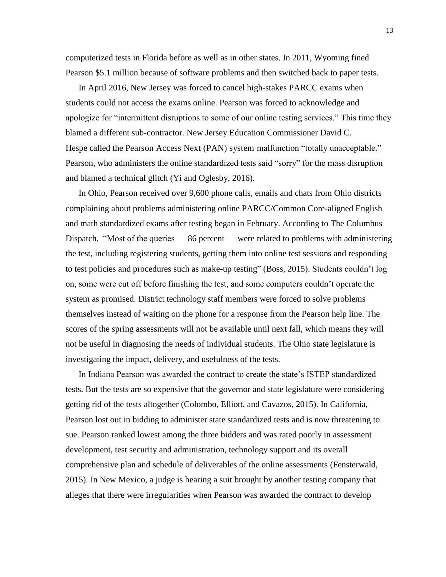computerized tests in Florida before as well as in other states. In 2011, Wyoming fined Pearson \$5.1 million because of software problems and then switched back to paper tests.

In April 2016, New Jersey was forced to cancel high-stakes PARCC exams when students could not access the exams online. Pearson was forced to acknowledge and apologize for "intermittent disruptions to some of our online testing services." This time they blamed a different sub-contractor. New Jersey Education Commissioner David C. Hespe called the Pearson Access Next (PAN) system malfunction "totally unacceptable." Pearson, who administers the online standardized tests said "sorry" for the mass disruption and blamed a technical glitch (Yi and Oglesby, 2016).

In Ohio, Pearson received over 9,600 phone calls, emails and chats from Ohio districts complaining about problems administering online PARCC/Common Core-aligned English and math standardized exams after testing began in February. According to The Columbus Dispatch, "Most of the queries — 86 percent — were related to problems with administering the test, including registering students, getting them into online test sessions and responding to test policies and procedures such as make-up testing" (Boss, 2015). Students couldn't log on, some were cut off before finishing the test, and some computers couldn't operate the system as promised. District technology staff members were forced to solve problems themselves instead of waiting on the phone for a response from the Pearson help line. The scores of the spring assessments will not be available until next fall, which means they will not be useful in diagnosing the needs of individual students. The Ohio state legislature is investigating the impact, delivery, and usefulness of the tests.

In Indiana Pearson was awarded the contract to create the state's ISTEP standardized tests. But the tests are so expensive that the governor and state legislature were considering getting rid of the tests altogether (Colombo, Elliott, and Cavazos, 2015). In California, Pearson lost out in bidding to administer state standardized tests and is now threatening to sue. Pearson ranked lowest among the three bidders and was rated poorly in assessment development, test security and administration, technology support and its overall comprehensive plan and schedule of deliverables of the online assessments (Fensterwald, 2015). In New Mexico, a judge is hearing a suit brought by another testing company that alleges that there were irregularities when Pearson was awarded the contract to develop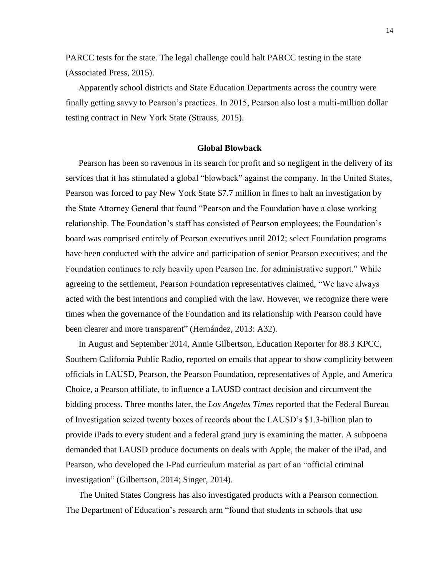PARCC tests for the state. The legal challenge could halt PARCC testing in the state (Associated Press, 2015).

Apparently school districts and State Education Departments across the country were finally getting savvy to Pearson's practices. In 2015, Pearson also lost a multi-million dollar testing contract in New York State (Strauss, 2015).

# **Global Blowback**

Pearson has been so ravenous in its search for profit and so negligent in the delivery of its services that it has stimulated a global "blowback" against the company. In the United States, Pearson was forced to pay New York State \$7.7 million in fines to halt an investigation by the State Attorney General that found "Pearson and the Foundation have a close working relationship. The Foundation's staff has consisted of Pearson employees; the Foundation's board was comprised entirely of Pearson executives until 2012; select Foundation programs have been conducted with the advice and participation of senior Pearson executives; and the Foundation continues to rely heavily upon Pearson Inc. for administrative support." While agreeing to the settlement, Pearson Foundation representatives claimed, "We have always acted with the best intentions and complied with the law. However, we recognize there were times when the governance of the Foundation and its relationship with Pearson could have been clearer and more transparent" (Hernández, 2013: A32).

In August and September 2014, Annie Gilbertson, Education Reporter for 88.3 KPCC, Southern California Public Radio, reported on emails that appear to show complicity between officials in LAUSD, Pearson, the Pearson Foundation, representatives of Apple, and America Choice, a Pearson affiliate, to influence a LAUSD contract decision and circumvent the bidding process. Three months later, the *Los Angeles Times* reported that the Federal Bureau of Investigation seized twenty boxes of records about the LAUSD's \$1.3-billion plan to provide iPads to every student and a federal grand jury is examining the matter. A subpoena demanded that LAUSD produce documents on deals with Apple, the maker of the iPad, and Pearson, who developed the I-Pad curriculum material as part of an "official criminal investigation" (Gilbertson, 2014; Singer, 2014).

The United States Congress has also investigated products with a Pearson connection. The Department of Education's research arm "found that students in schools that use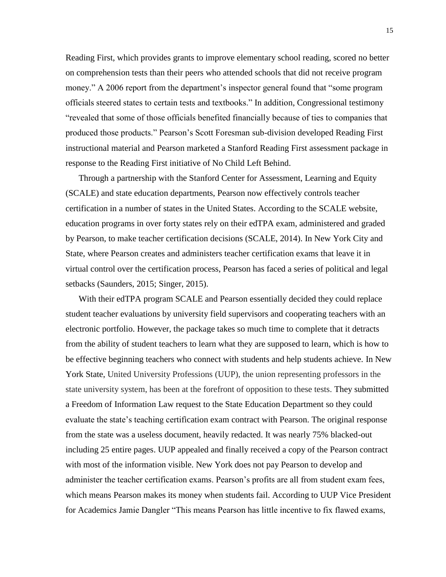Reading First, which provides grants to improve elementary school reading, scored no better on comprehension tests than their peers who attended schools that did not receive program money." A 2006 report from the department's inspector general found that "some program officials steered states to certain tests and textbooks." In addition, Congressional testimony "revealed that some of those officials benefited financially because of ties to companies that produced those products." Pearson's Scott Foresman sub-division developed Reading First instructional material and Pearson marketed a Stanford Reading First assessment package in response to the Reading First initiative of No Child Left Behind.

Through a partnership with the Stanford Center for Assessment, Learning and Equity (SCALE) and state education departments, Pearson now effectively controls teacher certification in a number of states in the United States. According to the SCALE website, education programs in over forty states rely on their edTPA exam, administered and graded by Pearson, to make teacher certification decisions (SCALE, 2014). In New York City and State, where Pearson creates and administers teacher certification exams that leave it in virtual control over the certification process, Pearson has faced a series of political and legal setbacks (Saunders, 2015; Singer, 2015).

With their edTPA program SCALE and Pearson essentially decided they could replace student teacher evaluations by university field supervisors and cooperating teachers with an electronic portfolio. However, the package takes so much time to complete that it detracts from the ability of student teachers to learn what they are supposed to learn, which is how to be effective beginning teachers who connect with students and help students achieve. In New York State, United University Professions (UUP), the union representing professors in the state university system, has been at the forefront of opposition to these tests. They submitted a Freedom of Information Law request to the State Education Department so they could evaluate the state's teaching certification exam contract with Pearson. The original response from the state was a useless document, heavily redacted. It was nearly 75% blacked-out including 25 entire pages. UUP appealed and finally received a copy of the Pearson contract with most of the information visible. New York does not pay Pearson to develop and administer the teacher certification exams. Pearson's profits are all from student exam fees, which means Pearson makes its money when students fail. According to UUP Vice President for Academics Jamie Dangler "This means Pearson has little incentive to fix flawed exams,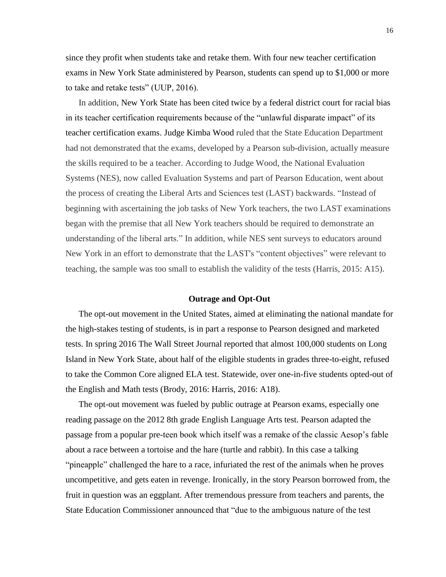since they profit when students take and retake them. With four new teacher certification exams in New York State administered by Pearson, students can spend up to \$1,000 or more to take and retake tests" (UUP, 2016).

In addition, New York State has been cited twice by a federal district court for racial bias in its teacher certification requirements because of the "unlawful disparate impact" of its teacher certification exams. Judge Kimba Wood ruled that the State Education Department had not demonstrated that the exams, developed by a Pearson sub-division, actually measure the skills required to be a teacher. According to Judge Wood, the National Evaluation Systems (NES), now called Evaluation Systems and part of Pearson Education, went about the process of creating the Liberal Arts and Sciences test (LAST) backwards. "Instead of beginning with ascertaining the job tasks of New York teachers, the two LAST examinations began with the premise that all New York teachers should be required to demonstrate an understanding of the liberal arts." In addition, while NES sent surveys to educators around New York in an effort to demonstrate that the LAST's "content objectives" were relevant to teaching, the sample was too small to establish the validity of the tests (Harris, 2015: A15).

### **Outrage and Opt-Out**

The opt-out movement in the United States, aimed at eliminating the national mandate for the high-stakes testing of students, is in part a response to Pearson designed and marketed tests. In spring 2016 The Wall Street Journal reported that almost 100,000 students on Long Island in New York State, about half of the eligible students in grades three-to-eight, refused to take the Common Core aligned ELA test. Statewide, over one-in-five students opted-out of the English and Math tests (Brody, 2016: Harris, 2016: A18).

The opt-out movement was fueled by public outrage at Pearson exams, especially one reading passage on the 2012 8th grade English Language Arts test. Pearson adapted the passage from a popular pre-teen book which itself was a remake of the classic Aesop's fable about a race between a tortoise and the hare (turtle and rabbit). In this case a talking "pineapple" challenged the hare to a race, infuriated the rest of the animals when he proves uncompetitive, and gets eaten in revenge. Ironically, in the story Pearson borrowed from, the fruit in question was an eggplant. After tremendous pressure from teachers and parents, the State Education Commissioner announced that "due to the ambiguous nature of the test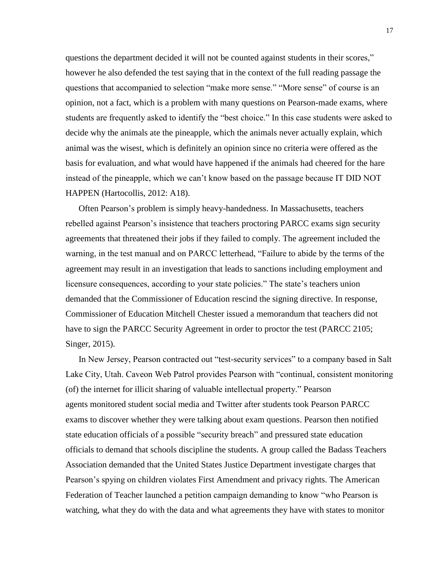questions the department decided it will not be counted against students in their scores," however he also defended the test saying that in the context of the full reading passage the questions that accompanied to selection "make more sense." "More sense" of course is an opinion, not a fact, which is a problem with many questions on Pearson-made exams, where students are frequently asked to identify the "best choice." In this case students were asked to decide why the animals ate the pineapple, which the animals never actually explain, which animal was the wisest, which is definitely an opinion since no criteria were offered as the basis for evaluation, and what would have happened if the animals had cheered for the hare instead of the pineapple, which we can't know based on the passage because IT DID NOT HAPPEN (Hartocollis, 2012: A18).

Often Pearson's problem is simply heavy-handedness. In Massachusetts, teachers rebelled against Pearson's insistence that teachers proctoring PARCC exams sign security agreements that threatened their jobs if they failed to comply. The agreement included the warning, in the test manual and on PARCC letterhead, "Failure to abide by the terms of the agreement may result in an investigation that leads to sanctions including employment and licensure consequences, according to your state policies." The state's teachers union demanded that the Commissioner of Education rescind the signing directive. In response, Commissioner of Education Mitchell Chester issued a memorandum that teachers did not have to sign the PARCC Security Agreement in order to proctor the test (PARCC 2105; Singer, 2015).

In New Jersey, Pearson contracted out "test-security services" to a company based in Salt Lake City, Utah. Caveon Web Patrol provides Pearson with "continual, consistent monitoring (of) the internet for illicit sharing of valuable intellectual property." Pearson agents monitored student social media and Twitter after students took Pearson PARCC exams to discover whether they were talking about exam questions. Pearson then notified state education officials of a possible "security breach" and pressured state education officials to demand that schools discipline the students. A group called the Badass Teachers Association demanded that the United States Justice Department investigate charges that Pearson's spying on children violates First Amendment and privacy rights. The American Federation of Teacher launched a petition campaign demanding to know "who Pearson is watching, what they do with the data and what agreements they have with states to monitor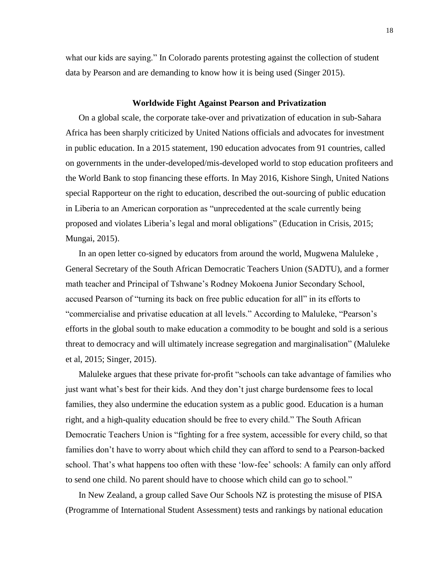what our kids are saying." In Colorado parents protesting against the collection of student data by Pearson and are demanding to know how it is being used (Singer 2015).

#### **Worldwide Fight Against Pearson and Privatization**

On a global scale, the corporate take-over and privatization of education in sub-Sahara Africa has been sharply criticized by United Nations officials and advocates for investment in public education. In a 2015 statement, 190 education advocates from 91 countries, called on governments in the under-developed/mis-developed world to stop education profiteers and the World Bank to stop financing these efforts. In May 2016, Kishore Singh, United Nations special Rapporteur on the right to education, described the out-sourcing of public education in Liberia to an American corporation as "unprecedented at the scale currently being proposed and violates Liberia's legal and moral obligations" (Education in Crisis, 2015; Mungai, 2015).

In an open letter co-signed by educators from around the world, Mugwena Maluleke , General Secretary of the South African Democratic Teachers Union (SADTU), and a former math teacher and Principal of Tshwane's Rodney Mokoena Junior Secondary School, accused Pearson of "turning its back on free public education for all" in its efforts to "commercialise and privatise education at all levels." According to Maluleke, "Pearson's efforts in the global south to make education a commodity to be bought and sold is a serious threat to democracy and will ultimately increase segregation and marginalisation" (Maluleke et al, 2015; Singer, 2015).

Maluleke argues that these private for-profit "schools can take advantage of families who just want what's best for their kids. And they don't just charge burdensome fees to local families, they also undermine the education system as a public good. Education is a human right, and a high-quality education should be free to every child." The South African Democratic Teachers Union is "fighting for a free system, accessible for every child, so that families don't have to worry about which child they can afford to send to a Pearson-backed school. That's what happens too often with these 'low-fee' schools: A family can only afford to send one child. No parent should have to choose which child can go to school."

In New Zealand, a group called Save Our Schools NZ is protesting the misuse of PISA (Programme of International Student Assessment) tests and rankings by national education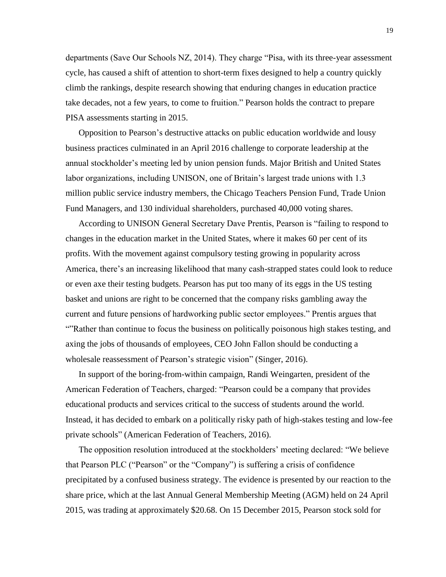departments (Save Our Schools NZ, 2014). They charge "Pisa, with its three-year assessment cycle, has caused a shift of attention to short-term fixes designed to help a country quickly climb the rankings, despite research showing that enduring changes in education practice take decades, not a few years, to come to fruition." Pearson holds the contract to prepare PISA assessments starting in 2015.

Opposition to Pearson's destructive attacks on public education worldwide and lousy business practices culminated in an April 2016 challenge to corporate leadership at the annual stockholder's meeting led by union pension funds. Major British and United States labor organizations, including UNISON, one of Britain's largest trade unions with 1.3 million public service industry members, the Chicago Teachers Pension Fund, Trade Union Fund Managers, and 130 individual shareholders, purchased 40,000 voting shares.

According to UNISON General Secretary Dave Prentis, Pearson is "failing to respond to changes in the education market in the United States, where it makes 60 per cent of its profits. With the movement against compulsory testing growing in popularity across America, there's an increasing likelihood that many cash-strapped states could look to reduce or even axe their testing budgets. Pearson has put too many of its eggs in the US testing basket and unions are right to be concerned that the company risks gambling away the current and future pensions of hardworking public sector employees." Prentis argues that ""Rather than continue to focus the business on politically poisonous high stakes testing, and axing the jobs of thousands of employees, CEO John Fallon should be conducting a wholesale reassessment of Pearson's strategic vision" (Singer, 2016).

In support of the boring-from-within campaign, Randi Weingarten, president of the American Federation of Teachers, charged: "Pearson could be a company that provides educational products and services critical to the success of students around the world. Instead, it has decided to embark on a politically risky path of high-stakes testing and low-fee private schools" (American Federation of Teachers, 2016).

The opposition resolution introduced at the stockholders' meeting declared: "We believe that Pearson PLC ("Pearson" or the "Company") is suffering a crisis of confidence precipitated by a confused business strategy. The evidence is presented by our reaction to the share price, which at the last Annual General Membership Meeting (AGM) held on 24 April 2015, was trading at approximately \$20.68. On 15 December 2015, Pearson stock sold for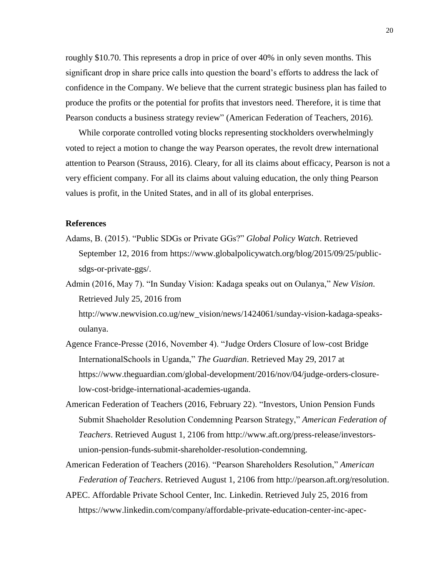roughly \$10.70. This represents a drop in price of over 40% in only seven months. This significant drop in share price calls into question the board's efforts to address the lack of confidence in the Company. We believe that the current strategic business plan has failed to produce the profits or the potential for profits that investors need. Therefore, it is time that Pearson conducts a business strategy review" (American Federation of Teachers, 2016).

While corporate controlled voting blocks representing stockholders overwhelmingly voted to reject a motion to change the way Pearson operates, the revolt drew international attention to Pearson (Strauss, 2016). Cleary, for all its claims about efficacy, Pearson is not a very efficient company. For all its claims about valuing education, the only thing Pearson values is profit, in the United States, and in all of its global enterprises.

### **References**

- Adams, B. (2015). "Public SDGs or Private GGs?" *Global Policy Watch*. Retrieved September 12, 2016 from https://www.globalpolicywatch.org/blog/2015/09/25/publicsdgs-or-private-ggs/.
- Admin (2016, May 7). "In Sunday Vision: Kadaga speaks out on Oulanya," *New Vision*. Retrieved July 25, 2016 from

http://www.newvision.co.ug/new\_vision/news/1424061/sunday-vision-kadaga-speaksoulanya.

- Agence France-Presse (2016, November 4). "Judge Orders Closure of low-cost Bridge InternationalSchools in Uganda," *The Guardian*. Retrieved May 29, 2017 at https://www.theguardian.com/global-development/2016/nov/04/judge-orders-closurelow-cost-bridge-international-academies-uganda.
- American Federation of Teachers (2016, February 22). "Investors, Union Pension Funds Submit Shaeholder Resolution Condemning Pearson Strategy," *American Federation of Teachers*. Retrieved August 1, 2106 from http://www.aft.org/press-release/investorsunion-pension-funds-submit-shareholder-resolution-condemning.
- American Federation of Teachers (2016). "Pearson Shareholders Resolution," *American Federation of Teachers*. Retrieved August 1, 2106 from http://pearson.aft.org/resolution.
- APEC. Affordable Private School Center, Inc. Linkedin. Retrieved July 25, 2016 from https://www.linkedin.com/company/affordable-private-education-center-inc-apec-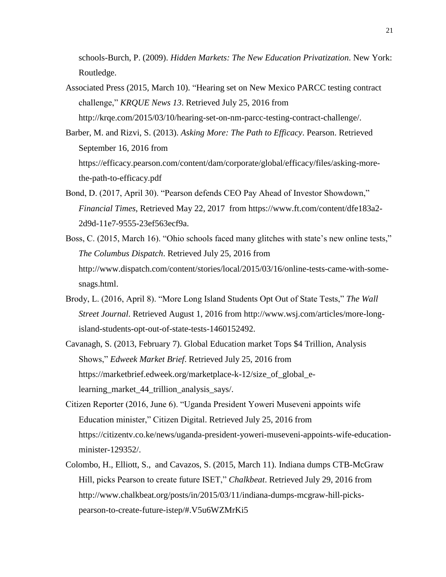schools-Burch, P. (2009). *Hidden Markets: The New Education Privatization*. New York: Routledge.

- Associated Press (2015, March 10). "Hearing set on New Mexico PARCC testing contract challenge," *KRQUE News 13*. Retrieved July 25, 2016 from http://krqe.com/2015/03/10/hearing-set-on-nm-parcc-testing-contract-challenge/.
- Barber, M. and Rizvi, S. (2013). *Asking More: The Path to Efficacy*. Pearson. Retrieved September 16, 2016 from https://efficacy.pearson.com/content/dam/corporate/global/efficacy/files/asking-morethe-path-to-efficacy.pdf
- Bond, D. (2017, April 30). "Pearson defends CEO Pay Ahead of Investor Showdown," *Financial Times*, Retrieved May 22, 2017 from https://www.ft.com/content/dfe183a2- 2d9d-11e7-9555-23ef563ecf9a.
- Boss, C. (2015, March 16). "Ohio schools faced many glitches with state's new online tests," *The Columbus Dispatch*. Retrieved July 25, 2016 from http://www.dispatch.com/content/stories/local/2015/03/16/online-tests-came-with-somesnags.html.
- Brody, L. (2016, April 8). "More Long Island Students Opt Out of State Tests," *The Wall Street Journal*. Retrieved August 1, 2016 from http://www.wsj.com/articles/more-longisland-students-opt-out-of-state-tests-1460152492.
- Cavanagh, S. (2013, February 7). Global Education market Tops \$4 Trillion, Analysis Shows," *Edweek Market Brief*. Retrieved July 25, 2016 from https://marketbrief.edweek.org/marketplace-k-12/size\_of\_global\_elearning market 44 trillion analysis says/.
- Citizen Reporter (2016, June 6). "Uganda President Yoweri Museveni appoints wife Education minister," Citizen Digital. Retrieved July 25, 2016 from https://citizentv.co.ke/news/uganda-president-yoweri-museveni-appoints-wife-educationminister-129352/.
- Colombo, H., Elliott, S., and Cavazos, S. (2015, March 11). Indiana dumps CTB-McGraw Hill, picks Pearson to create future ISET," *Chalkbeat*. Retrieved July 29, 2016 from http://www.chalkbeat.org/posts/in/2015/03/11/indiana-dumps-mcgraw-hill-pickspearson-to-create-future-istep/#.V5u6WZMrKi5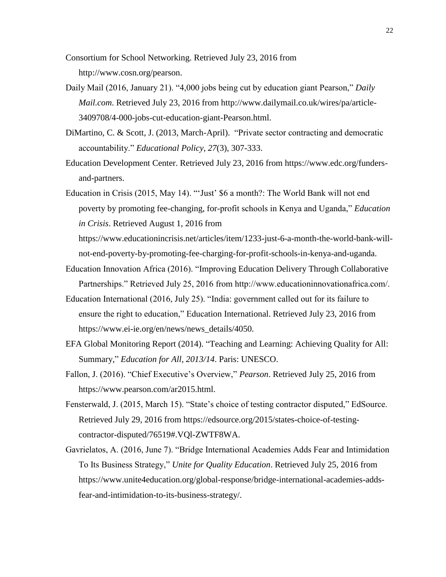Consortium for School Networking. Retrieved July 23, 2016 from http://www.cosn.org/pearson.

- Daily Mail (2016, January 21). "4,000 jobs being cut by education giant Pearson," *Daily Mail.com*. Retrieved July 23, 2016 from http://www.dailymail.co.uk/wires/pa/article-3409708/4-000-jobs-cut-education-giant-Pearson.html.
- DiMartino, C. & Scott, J. (2013, March-April). "Private sector contracting and democratic accountability." *Educational Policy, 27*(3), 307-333.
- Education Development Center. Retrieved July 23, 2016 from https://www.edc.org/fundersand-partners.

Education in Crisis (2015, May 14). "'Just' \$6 a month?: The World Bank will not end poverty by promoting fee-changing, for-profit schools in Kenya and Uganda," *Education in Crisis*. Retrieved August 1, 2016 from

https://www.educationincrisis.net/articles/item/1233-just-6-a-month-the-world-bank-willnot-end-poverty-by-promoting-fee-charging-for-profit-schools-in-kenya-and-uganda.

- Education Innovation Africa (2016). "Improving Education Delivery Through Collaborative Partnerships." Retrieved July 25, 2016 from http://www.educationinnovationafrica.com/.
- Education International (2016, July 25). "India: government called out for its failure to ensure the right to education," Education International. Retrieved July 23, 2016 from https://www.ei-ie.org/en/news/news\_details/4050.
- EFA Global Monitoring Report (2014). "Teaching and Learning: Achieving Quality for All: Summary," *Education for All*, *2013/14*. Paris: UNESCO.
- Fallon, J. (2016). "Chief Executive's Overview," *Pearson*. Retrieved July 25, 2016 from https://www.pearson.com/ar2015.html.
- Fensterwald, J. (2015, March 15). "State's choice of testing contractor disputed," EdSource. Retrieved July 29, 2016 from https://edsource.org/2015/states-choice-of-testingcontractor-disputed/76519#.VQl-ZWTF8WA.
- Gavrielatos, A. (2016, June 7). "Bridge International Academies Adds Fear and Intimidation To Its Business Strategy," *Unite for Quality Education*. Retrieved July 25, 2016 from https://www.unite4education.org/global-response/bridge-international-academies-addsfear-and-intimidation-to-its-business-strategy/.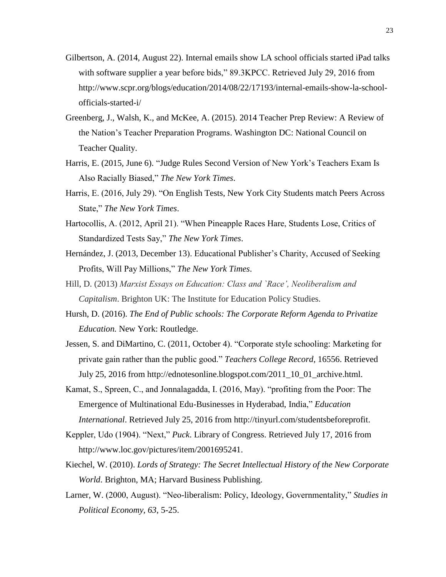- Gilbertson, A. (2014, August 22). Internal emails show LA school officials started iPad talks with software supplier a year before bids," 89.3KPCC. Retrieved July 29, 2016 from http://www.scpr.org/blogs/education/2014/08/22/17193/internal-emails-show-la-schoolofficials-started-i/
- Greenberg, J., Walsh, K., and McKee, A. (2015). 2014 Teacher Prep Review: A Review of the Nation's Teacher Preparation Programs. Washington DC: National Council on Teacher Quality.
- Harris, E. (2015, June 6). "Judge Rules Second Version of New York's Teachers Exam Is Also Racially Biased," *The New York Times*.
- Harris, E. (2016, July 29). "On English Tests, New York City Students match Peers Across State," *The New York Times*.
- Hartocollis, A. (2012, April 21). "When Pineapple Races Hare, Students Lose, Critics of Standardized Tests Say," *The New York Times*.
- Hernández, J. (2013, December 13). Educational Publisher's Charity, Accused of Seeking Profits, Will Pay Millions," *The New York Times*.
- Hill, D. (2013) *Marxist Essays on Education: Class and `Race', Neoliberalism and Capitalism*. Brighton UK: The Institute for Education Policy Studies.
- Hursh, D. (2016). *The End of Public schools: The Corporate Reform Agenda to Privatize Education.* New York: Routledge.
- Jessen, S. and DiMartino, C. (2011, October 4). "Corporate style schooling: Marketing for private gain rather than the public good." *Teachers College Record,* 16556. Retrieved July 25, 2016 from http://ednotesonline.blogspot.com/2011\_10\_01\_archive.html.
- Kamat, S., Spreen, C., and Jonnalagadda, I. (2016, May). "profiting from the Poor: The Emergence of Multinational Edu-Businesses in Hyderabad, India," *Education International*. Retrieved July 25, 2016 from [http://tinyurl.com/studentsbeforeprofit.](http://tinyurl.com/studentsbeforeprofit)
- Keppler, Udo (1904). "Next," *Puck*. Library of Congress. Retrieved July 17, 2016 from http://www.loc.gov/pictures/item/2001695241.
- Kiechel, W. (2010). *Lords of Strategy: The Secret Intellectual History of the New Corporate World*. Brighton, MA; Harvard Business Publishing.
- Larner, W. (2000, August). "Neo-liberalism: Policy, Ideology, Governmentality," *Studies in Political Economy, 63*, 5-25.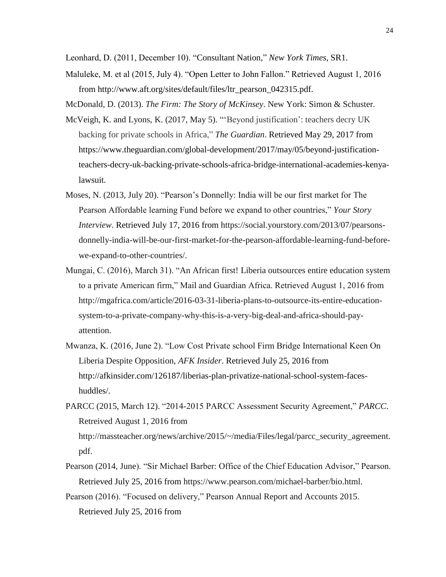Leonhard, D. (2011, December 10). "Consultant Nation," *New York Times*, SR1.

Maluleke, M. et al (2015, July 4). "Open Letter to John Fallon." Retrieved August 1, 2016 from http://www.aft.org/sites/default/files/ltr\_pearson\_042315.pdf.

McDonald, D. (2013). *The Firm: The Story of McKinsey*. New York: Simon & Schuster.

- McVeigh, K. and Lyons, K. (2017, May 5). "'Beyond justification': teachers decry UK backing for private schools in Africa," *The Guardian*. Retrieved May 29, 2017 from https://www.theguardian.com/global-development/2017/may/05/beyond-justificationteachers-decry-uk-backing-private-schools-africa-bridge-international-academies-kenyalawsuit.
- Moses, N. (2013, July 20). "Pearson's Donnelly: India will be our first market for The Pearson Affordable learning Fund before we expand to other countries," *Your Story Interview*. Retrieved July 17, 2016 from https://social.yourstory.com/2013/07/pearsonsdonnelly-india-will-be-our-first-market-for-the-pearson-affordable-learning-fund-beforewe-expand-to-other-countries/.
- Mungai, C. (2016), March 31). "An African first! Liberia outsources entire education system to a private American firm," Mail and Guardian Africa. Retrieved August 1, 2016 from http://mgafrica.com/article/2016-03-31-liberia-plans-to-outsource-its-entire-educationsystem-to-a-private-company-why-this-is-a-very-big-deal-and-africa-should-payattention.
- Mwanza, K. (2016, June 2). "Low Cost Private school Firm Bridge International Keen On Liberia Despite Opposition, *AFK Insider*. Retrieved July 25, 2016 from http://afkinsider.com/126187/liberias-plan-privatize-national-school-system-faceshuddles/.
- PARCC (2015, March 12). "2014-2015 PARCC Assessment Security Agreement," *PARCC*. Retreived August 1, 2016 from http://massteacher.org/news/archive/2015/~/media/Files/legal/parcc\_security\_agreement. pdf.
- Pearson (2014, June). "Sir Michael Barber: Office of the Chief Education Advisor," Pearson. Retrieved July 25, 2016 from https://www.pearson.com/michael-barber/bio.html.
- Pearson (2016). "Focused on delivery," Pearson Annual Report and Accounts 2015. Retrieved July 25, 2016 from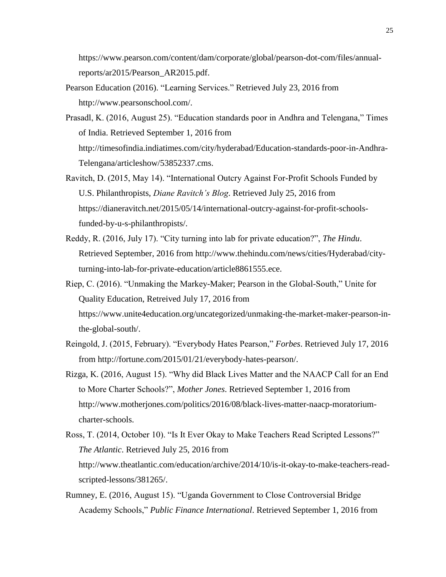https://www.pearson.com/content/dam/corporate/global/pearson-dot-com/files/annualreports/ar2015/Pearson\_AR2015.pdf.

- Pearson Education (2016). "Learning Services." Retrieved July 23, 2016 from http://www.pearsonschool.com/.
- Prasadl, K. (2016, August 25). "Education standards poor in Andhra and Telengana," Times of India. Retrieved September 1, 2016 from http://timesofindia.indiatimes.com/city/hyderabad/Education-standards-poor-in-Andhra-Telengana/articleshow/53852337.cms.
- Ravitch, D. (2015, May 14). "International Outcry Against For-Profit Schools Funded by U.S. Philanthropists, *Diane Ravitch's Blog*. Retrieved July 25, 2016 from https://dianeravitch.net/2015/05/14/international-outcry-against-for-profit-schoolsfunded-by-u-s-philanthropists/.
- Reddy, R. (2016, July 17). "City turning into lab for private education?", *The Hindu*. Retrieved September, 2016 from http://www.thehindu.com/news/cities/Hyderabad/cityturning-into-lab-for-private-education/article8861555.ece.
- Riep, C. (2016). "Unmaking the Markey-Maker; Pearson in the Global-South," Unite for Quality Education, Retreived July 17, 2016 from https://www.unite4education.org/uncategorized/unmaking-the-market-maker-pearson-inthe-global-south/.
- Reingold, J. (2015, February). "Everybody Hates Pearson," *Forbes*. Retrieved July 17, 2016 from http://fortune.com/2015/01/21/everybody-hates-pearson/.
- Rizga, K. (2016, August 15). "Why did Black Lives Matter and the NAACP Call for an End to More Charter Schools?", *Mother Jones*. Retrieved September 1, 2016 from http://www.motherjones.com/politics/2016/08/black-lives-matter-naacp-moratoriumcharter-schools.
- Ross, T. (2014, October 10). "Is It Ever Okay to Make Teachers Read Scripted Lessons?" *The Atlantic*. Retrieved July 25, 2016 from http://www.theatlantic.com/education/archive/2014/10/is-it-okay-to-make-teachers-readscripted-lessons/381265/.
- Rumney, E. (2016, August 15). "Uganda Government to Close Controversial Bridge Academy Schools," *Public Finance International*. Retrieved September 1, 2016 from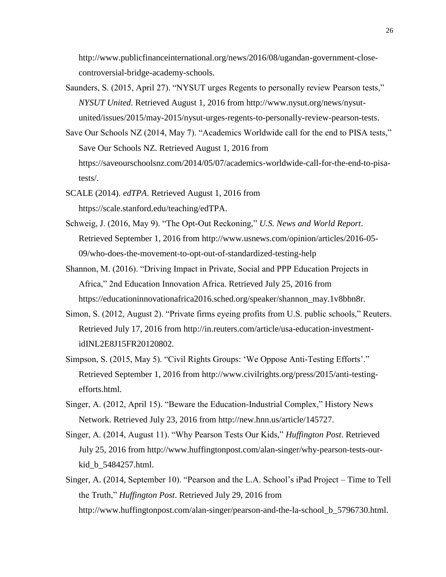http://www.publicfinanceinternational.org/news/2016/08/ugandan-government-closecontroversial-bridge-academy-schools.

- Saunders, S. (2015, April 27). "NYSUT urges Regents to personally review Pearson tests," *NYSUT United*. Retrieved August 1, 2016 from http://www.nysut.org/news/nysutunited/issues/2015/may-2015/nysut-urges-regents-to-personally-review-pearson-tests.
- Save Our Schools NZ (2014, May 7). "Academics Worldwide call for the end to PISA tests," Save Our Schools NZ. Retrieved August 1, 2016 from https://saveourschoolsnz.com/2014/05/07/academics-worldwide-call-for-the-end-to-pisatests/.
- SCALE (2014). *edTPA*. Retrieved August 1, 2016 from https://scale.stanford.edu/teaching/edTPA.
- Schweig, J. (2016, May 9). "The Opt-Out Reckoning," *U.S. News and World Report*. Retrieved September 1, 2016 from http://www.usnews.com/opinion/articles/2016-05- 09/who-does-the-movement-to-opt-out-of-standardized-testing-help
- Shannon, M. (2016). "Driving Impact in Private, Social and PPP Education Projects in Africa," 2nd Education Innovation Africa. Retrieved July 25, 2016 from https://educationinnovationafrica2016.sched.org/speaker/shannon\_may.1v8bbn8r.
- Simon, S. (2012, August 2). "Private firms eyeing profits from U.S. public schools," Reuters. Retrieved July 17, 2016 from http://in.reuters.com/article/usa-education-investmentidINL2E8J15FR20120802.
- Simpson, S. (2015, May 5). "Civil Rights Groups: 'We Oppose Anti-Testing Efforts'." Retrieved September 1, 2016 from http://www.civilrights.org/press/2015/anti-testingefforts.html.
- Singer, A. (2012, April 15). "Beware the Education-Industrial Complex," History News Network. Retrieved July 23, 2016 from http://new.hnn.us/article/145727.
- Singer, A. (2014, August 11). "Why Pearson Tests Our Kids," *Huffington Post*. Retrieved July 25, 2016 from http://www.huffingtonpost.com/alan-singer/why-pearson-tests-ourkid\_b\_5484257.html.
- Singer, A. (2014, September 10). "Pearson and the L.A. School's iPad Project Time to Tell the Truth," *Huffington Post*. Retrieved July 29, 2016 from http://www.huffingtonpost.com/alan-singer/pearson-and-the-la-school\_b\_5796730.html.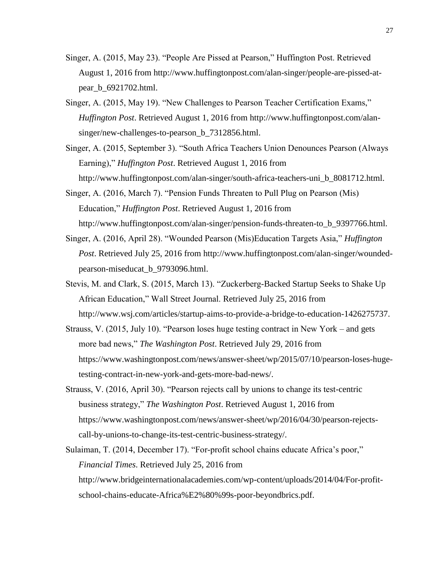- Singer, A. (2015, May 23). "People Are Pissed at Pearson," Huffington Post. Retrieved August 1, 2016 from http://www.huffingtonpost.com/alan-singer/people-are-pissed-atpear\_b\_6921702.html.
- Singer, A. (2015, May 19). "New Challenges to Pearson Teacher Certification Exams," *Huffington Post*. Retrieved August 1, 2016 from http://www.huffingtonpost.com/alansinger/new-challenges-to-pearson\_b\_7312856.html.
- Singer, A. (2015, September 3). "South Africa Teachers Union Denounces Pearson (Always Earning)," *Huffington Post*. Retrieved August 1, 2016 from http://www.huffingtonpost.com/alan-singer/south-africa-teachers-uni\_b\_8081712.html.

Singer, A. (2016, March 7). "Pension Funds Threaten to Pull Plug on Pearson (Mis) Education," *Huffington Post*. Retrieved August 1, 2016 from http://www.huffingtonpost.com/alan-singer/pension-funds-threaten-to\_b\_9397766.html.

- Singer, A. (2016, April 28). "Wounded Pearson (Mis)Education Targets Asia," *Huffington Post*. Retrieved July 25, 2016 from http://www.huffingtonpost.com/alan-singer/woundedpearson-miseducat\_b\_9793096.html.
- Stevis, M. and Clark, S. (2015, March 13). "Zuckerberg-Backed Startup Seeks to Shake Up African Education," Wall Street Journal. Retrieved July 25, 2016 from http://www.wsj.com/articles/startup-aims-to-provide-a-bridge-to-education-1426275737.
- Strauss, V. (2015, July 10). "Pearson loses huge testing contract in New York and gets more bad news," *The Washington Post*. Retrieved July 29, 2016 from https://www.washingtonpost.com/news/answer-sheet/wp/2015/07/10/pearson-loses-hugetesting-contract-in-new-york-and-gets-more-bad-news/.
- Strauss, V. (2016, April 30). "Pearson rejects call by unions to change its test-centric business strategy," *The Washington Post*. Retrieved August 1, 2016 from https://www.washingtonpost.com/news/answer-sheet/wp/2016/04/30/pearson-rejectscall-by-unions-to-change-its-test-centric-business-strategy/.
- Sulaiman, T. (2014, December 17). "For-profit school chains educate Africa's poor," *Financial Times*. Retrieved July 25, 2016 from http://www.bridgeinternationalacademies.com/wp-content/uploads/2014/04/For-profitschool-chains-educate-Africa%E2%80%99s-poor-beyondbrics.pdf.